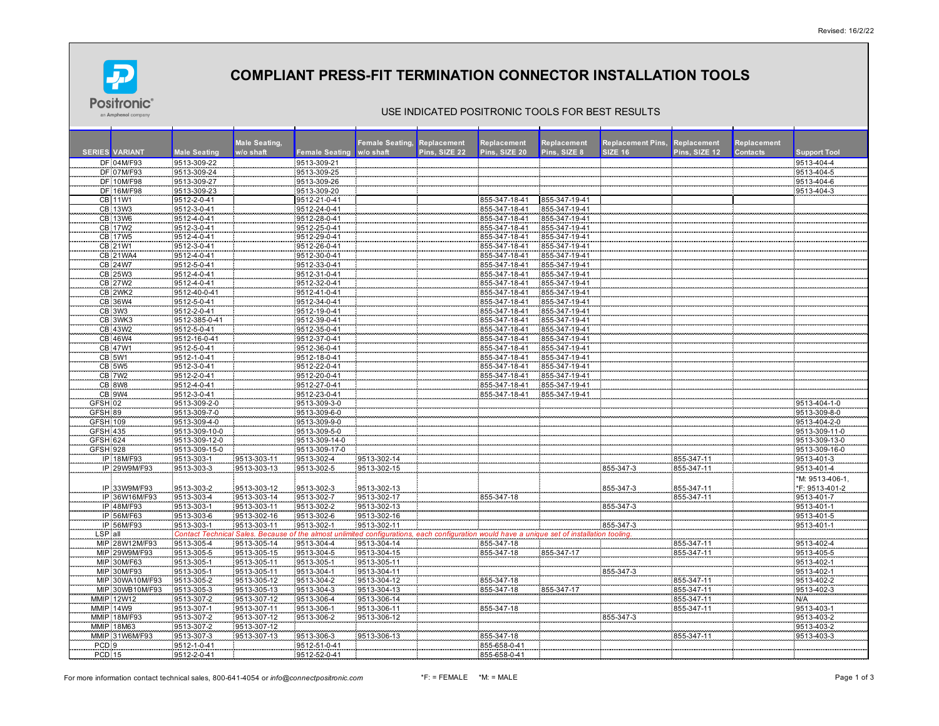

# **COMPLIANT PRESS-FIT TERMINATION CONNECTOR INSTALLATION TOOLS**

### USE INDICATED POSITRONIC TOOLS FOR BEST RESULTS

|                  |                           |                            | <b>Male Seating,</b> |                              | <b>Female Seating, Replacement</b> |               | Replacement                    | Replacement                    | <b>Replacement Pins,</b> | Replacement   | Replacement     |                     |
|------------------|---------------------------|----------------------------|----------------------|------------------------------|------------------------------------|---------------|--------------------------------|--------------------------------|--------------------------|---------------|-----------------|---------------------|
|                  | <b>SERIES VARIANT</b>     | <b>Male Seating</b>        | w/o shaft            | <b>Female Seating</b>        | w/o shaft                          | Pins. SIZE 22 | Pins. SIZE 20                  | Pins, SIZE 8                   | SIZE 16                  | Pins. SIZE 12 | <b>Contacts</b> | <b>Support Tool</b> |
|                  | DF 04M/F93                | 9513-309-22                |                      | 9513-309-21                  |                                    |               |                                |                                |                          |               |                 | 9513-404-4          |
|                  | DF 07M/F93                | 9513-309-24                |                      | 9513-309-25                  |                                    |               |                                |                                |                          |               |                 | 9513-404-5          |
|                  | <b>DF 10M/F98</b>         | 9513-309-27                |                      | 9513-309-26                  |                                    |               |                                |                                |                          |               |                 | 9513-404-6          |
|                  | DF 16M/F98                | 9513-309-23                |                      | 9513-309-20                  |                                    |               |                                |                                |                          |               |                 | 9513-404-3          |
|                  | <b>CB</b> 11W1            | 9512-2-0-41                |                      | 9512-21-0-41                 |                                    |               | 855-347-18-41                  | 855-347-19-41                  |                          |               |                 |                     |
|                  | CB 13W3                   | 9512-3-0-41                |                      | 9512-24-0-41                 |                                    |               | 855-347-18-41                  | 855-347-19-41                  |                          |               |                 |                     |
|                  | CB 13W6<br><b>CB 17W2</b> | 9512-4-0-41<br>9512-3-0-41 |                      | 9512-28-0-41<br>9512-25-0-41 |                                    |               | 855-347-18-41<br>855-347-18-41 | 855-347-19-41<br>855-347-19-41 |                          |               |                 |                     |
|                  | CB 17W5                   | 9512-4-0-41                |                      | 9512-29-0-41                 |                                    |               | 855-347-18-41                  | 855-347-19-41                  |                          |               |                 |                     |
|                  | CB 21W1                   | 9512-3-0-41                |                      | 9512-26-0-41                 |                                    |               | 855-347-18-41                  | 855-347-19-41                  |                          |               |                 |                     |
|                  | CB 21WA4                  | 9512-4-0-41                |                      | 9512-30-0-41                 |                                    |               | 855-347-18-41                  | 855-347-19-41                  |                          |               |                 |                     |
|                  | CB 24W7                   | 9512-5-0-41                |                      | 9512-33-0-41                 |                                    |               | 855-347-18-41                  | 855-347-19-41                  |                          |               |                 |                     |
|                  | CB 25W3                   | 9512-4-0-41                |                      | 9512-31-0-41                 |                                    |               | 855-347-18-41                  | 855-347-19-41                  |                          |               |                 |                     |
|                  | CB 27W2                   | 9512-4-0-41                |                      | 9512-32-0-41                 |                                    |               | 855-347-18-41                  | 855-347-19-41                  |                          |               |                 |                     |
|                  | CB_2WK2                   | 9512-40-0-41               |                      | 9512-41-0-41                 |                                    |               | 855-347-18-41                  | 855-347-19-41                  |                          |               |                 |                     |
|                  | CB 36W4                   | 9512-5-0-41                |                      | 9512-34-0-41                 |                                    |               | 855-347-18-41                  | 855-347-19-41                  |                          |               |                 |                     |
|                  | CB 3W3                    | 9512-2-0-41                |                      | 9512-19-0-41                 |                                    |               | 855-347-18-41                  | 855-347-19-41                  |                          |               |                 |                     |
|                  | CB 3WK3                   | 9512-385-0-41              |                      | 9512-39-0-41                 |                                    |               | 855-347-18-41                  | 855-347-19-41                  |                          |               |                 |                     |
|                  | CB 43W2                   | 9512-5-0-41                |                      | 9512-35-0-41                 |                                    |               | 855-347-18-41                  | 855-347-19-41                  |                          |               |                 |                     |
|                  | CB 46W4                   | 9512-16-0-41               |                      | 9512-37-0-41                 |                                    |               | 855-347-18-41                  | 855-347-19-41                  |                          |               |                 |                     |
|                  | CB 47W1                   | 9512-5-0-41                |                      | 9512-36-0-41                 |                                    |               | 855-347-18-41                  | 855-347-19-41                  |                          |               |                 |                     |
|                  | CB 5W1                    | 9512-1-0-41                |                      | 9512-18-0-41                 |                                    |               | 855-347-18-41                  | 855-347-19-41                  |                          |               |                 |                     |
|                  | <b>CB 5W5</b>             | 9512-3-0-41                |                      | 9512-22-0-41                 |                                    |               | 855-347-18-41                  | 855-347-19-41                  |                          |               |                 |                     |
|                  | CB 7W2                    | 9512-2-0-41                |                      | 9512-20-0-41                 |                                    |               | 855-347-18-41                  | 855-347-19-41                  |                          |               |                 |                     |
|                  | CB 8W8                    | 9512-4-0-41                |                      | 9512-27-0-41                 |                                    |               | 855-347-18-41                  | 855-347-19-41                  |                          |               |                 |                     |
|                  | <b>CB 9W4</b>             | 9512-3-0-41                |                      | 9512-23-0-41                 |                                    |               | 855-347-18-41                  | 855-347-19-41                  |                          |               |                 |                     |
| GFSH 02          |                           | 9513-309-2-0               |                      | 9513-309-3-0                 |                                    |               |                                |                                |                          |               |                 | 9513-404-1-0        |
| GFSH 89          |                           | 9513-309-7-0               |                      | 9513-309-6-0                 |                                    |               |                                |                                |                          |               |                 | 9513-309-8-0        |
| <b>GFSH 109</b>  |                           | 9513-309-4-0               |                      | 9513-309-9-0                 |                                    |               |                                |                                |                          |               |                 | 9513-404-2-0        |
| <b>GFSH 435</b>  |                           | 9513-309-10-0              |                      | 9513-309-5-0                 |                                    |               |                                |                                |                          |               |                 | 9513-309-11-0       |
| GFSH 624         |                           | 9513-309-12-0              |                      | 9513-309-14-0                |                                    |               |                                |                                |                          |               |                 | 9513-309-13-0       |
| <b>GFSH 928</b>  |                           | 9513-309-15-0              |                      | 9513-309-17-0                |                                    |               |                                |                                |                          |               |                 | 9513-309-16-0       |
|                  | IP 18M/F93                | 9513-303-1                 | 9513-303-11          | 9513-302-4                   | 9513-302-14                        |               |                                |                                |                          | 855-347-11    |                 | 9513-401-3          |
|                  | IP 29W9M/F93              | 9513-303-3                 | 9513-303-13          | 9513-302-5                   | 9513-302-15                        |               |                                |                                | 855-347-3                | 855-347-11    |                 | 9513-401-4          |
|                  |                           |                            |                      |                              |                                    |               |                                |                                |                          |               |                 | *M: 9513-406-1      |
|                  | IP 33W9M/F93              | 9513-303-2                 | 9513-303-12          | 9513-302-3                   | 9513-302-13                        |               |                                |                                | 855-347-3                | 855-347-11    |                 | *F: 9513-401-2      |
|                  | IP 36W16M/F93             | 9513-303-4                 | 9513-303-14          | 9513-302-7                   | 9513-302-17                        |               | 855-347-18                     |                                |                          | 855-347-11    |                 | 9513-401-7          |
|                  | IP 48M/F93                | 9513-303-1                 | 9513-303-11          | 9513-302-2                   | 9513-302-13                        |               |                                |                                | 855-347-3                |               |                 | 9513-401-1          |
|                  | IP 56M/F63                | 9513-303-6                 | 9513-302-16          | 9513-302-6                   | 9513-302-16                        |               |                                |                                |                          |               |                 | 9513-401-5          |
|                  | IP 56M/F93                | 9513-303-1                 | 9513-303-11          | 9513-302-1                   | 9513-302-11                        |               |                                |                                | 855-347-3                |               |                 | 9513-401-1          |
| SP all           |                           | ict Tei<br>Cont            | <b>Beca</b>          | f the almost                 | ed configurat                      |               | on would have                  | ique set of ins                | ion tooling              |               |                 |                     |
|                  | MIP 28W12M/F93            | 9513-305-4                 | 9513-305-14          | 9513-304-4                   | 9513-304-14                        |               | 855-347-18                     |                                |                          | 855-347-1     |                 | 9513-402-4          |
|                  | MIP 29W9M/F93             | 9513-305-5                 | 9513-305-15          | 9513-304-5                   | 9513-304-15                        |               | 855-347-18                     | 855-347-17                     |                          | 855-347-11    |                 | 9513-405-5          |
|                  | MIP 30M/F63               | 9513-305-1                 | 9513-305-11          | 9513-305-1                   | 9513-305-11                        |               |                                |                                |                          |               |                 | 9513-402-1          |
|                  | MIP 30M/F93               | 9513-305-1                 | 9513-305-11          | 9513-304-1                   | 9513-304-11                        |               |                                |                                | 855-347-3                |               |                 | 9513-402-1          |
|                  | MIP 30WA10M/F93           | 9513-305-2                 | 9513-305-12          | 9513-304-2                   | 9513-304-12                        |               | 855-347-18                     |                                |                          | 855-347-11    |                 | 9513-402-2          |
|                  | MIP 30WB10M/F93           | 9513-305-3                 | 9513-305-13          | 9513-304-3                   | 9513-304-13                        |               | 855-347-18                     | 855-347-17                     |                          | 855-347-11    |                 | 9513-402-3          |
|                  | MMIP 12W12                | 9513-307-2                 | 9513-307-12          | 9513-306-4                   | 9513-306-14                        |               |                                |                                |                          | 855-347-11    |                 | N/A                 |
|                  | <b>MMIP 14W9</b>          | 9513-307-1                 | 9513-307-11          | 9513-306-1                   | 9513-306-11                        |               | 855-347-18                     |                                |                          | 855-347-11    |                 | 9513-403-1          |
|                  | MMIP 18M/F93              | 9513-307-2                 | 9513-307-12          | 9513-306-2                   | 9513-306-12                        |               |                                |                                | 855-347-3                |               |                 | 9513-403-2          |
|                  | MMIP 18M63                | 9513-307-2                 | 9513-307-12          |                              |                                    |               |                                |                                |                          |               |                 | 9513-403-2          |
|                  | MMIP 31W6M/F93            | 9513-307-3                 | 9513-307-13          | 9513-306-3                   | 9513-306-13                        |               | 855-347-18                     |                                |                          | 855-347-11    |                 | 9513-403-3          |
| PCD <sub>9</sub> |                           | 9512-1-0-41                |                      | 9512-51-0-41                 |                                    |               | 855-658-0-41                   |                                |                          |               |                 |                     |
| <b>PCD 15</b>    |                           | 9512-2-0-41                |                      | 9512-52-0-41                 |                                    |               | 855-658-0-41                   |                                |                          |               |                 |                     |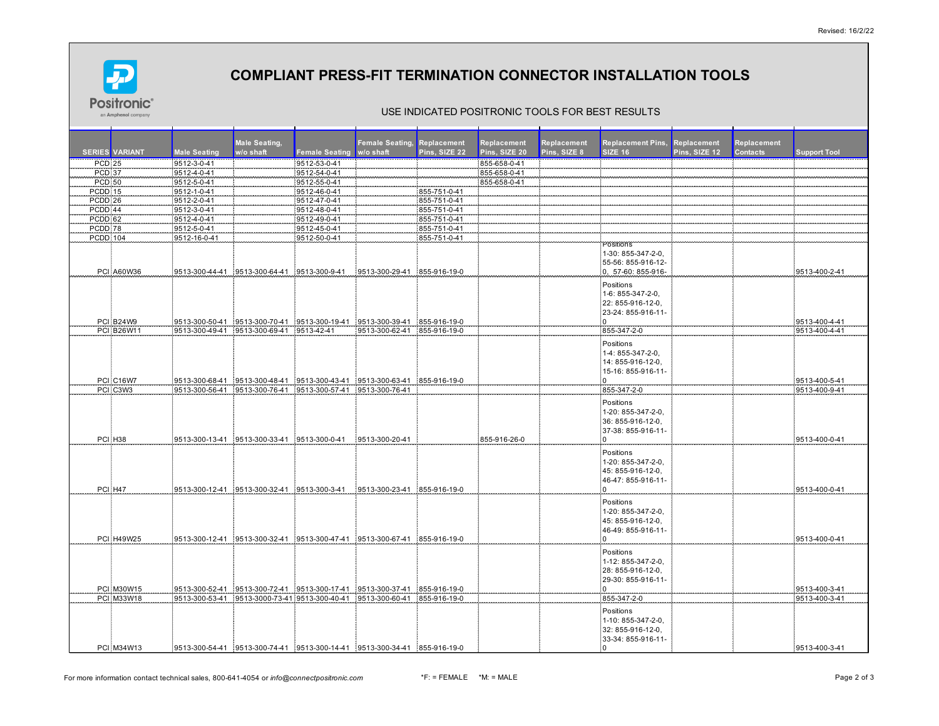

# **COMPLIANT PRESS-FIT TERMINATION CONNECTOR INSTALLATION TOOLS**

#### USE INDICATED POSITRONIC TOOLS FOR BEST RESULTS

|                     |                       |                     | <b>Male Seating,</b>                                                          |                       | Female Seating, Replacement |               | Replacement   | Replacement  | <b>Replacement Pins, Replacement</b> |               | Replacement     |                     |
|---------------------|-----------------------|---------------------|-------------------------------------------------------------------------------|-----------------------|-----------------------------|---------------|---------------|--------------|--------------------------------------|---------------|-----------------|---------------------|
|                     | <b>SERIES VARIANT</b> | <b>Male Seating</b> | w/o shaft                                                                     | <b>Female Seating</b> | w/o shaft                   | Pins, SIZE 22 | Pins, SIZE 20 | Pins. SIZE 8 | <b>SIZE 16</b>                       | Pins. SIZE 12 | <b>Contacts</b> | <b>Support Tool</b> |
| <b>PCD 25</b>       |                       | 9512-3-0-41         |                                                                               | 9512-53-0-41          |                             |               | 855-658-0-41  |              |                                      |               |                 |                     |
| <b>PCD 37</b>       |                       | 9512-4-0-41         |                                                                               | 9512-54-0-41          |                             |               | 855-658-0-41  |              |                                      |               |                 |                     |
| <b>PCD 50</b>       |                       | 9512-5-0-41         |                                                                               | 9512-55-0-41          |                             |               | 855-658-0-41  |              |                                      |               |                 |                     |
| PCDD 15             |                       | 9512-1-0-41         |                                                                               | 9512-46-0-41          |                             | 855-751-0-41  |               |              |                                      |               |                 |                     |
| PCDD <sub>26</sub>  |                       | 9512-2-0-41         |                                                                               | 9512-47-0-41          |                             | 855-751-0-41  |               |              |                                      |               |                 |                     |
| PCDD 44             |                       | 9512-3-0-41         |                                                                               | 9512-48-0-41          |                             | 855-751-0-41  |               |              |                                      |               |                 |                     |
| PCDD 62             |                       | 9512-4-0-41         |                                                                               | 9512-49-0-41          |                             | 855-751-0-41  |               |              |                                      |               |                 |                     |
| PCDD 78             |                       | 9512-5-0-41         |                                                                               | 9512-45-0-41          |                             | 855-751-0-41  |               |              |                                      |               |                 |                     |
| <b>PCDD 104</b>     |                       | 9512-16-0-41        |                                                                               | 9512-50-0-41          |                             | 855-751-0-41  |               |              |                                      |               |                 |                     |
|                     |                       |                     |                                                                               |                       |                             |               |               |              | Positions<br>1-30: 855-347-2-0.      |               |                 |                     |
|                     |                       |                     |                                                                               |                       |                             |               |               |              | 55-56: 855-916-12-                   |               |                 |                     |
|                     | PCI A60W36            |                     | 9513-300-44-41 9513-300-64-41 9513-300-9-41                                   |                       | 9513-300-29-41 855-916-19-0 |               |               |              | 0, 57-60: 855-916-                   |               |                 | 9513-400-2-41       |
|                     |                       |                     |                                                                               |                       |                             |               |               |              |                                      |               |                 |                     |
|                     |                       |                     |                                                                               |                       |                             |               |               |              | Positions                            |               |                 |                     |
|                     |                       |                     |                                                                               |                       |                             |               |               |              | 1-6: 855-347-2-0,                    |               |                 |                     |
|                     |                       |                     |                                                                               |                       |                             |               |               |              | 22: 855-916-12-0.                    |               |                 |                     |
|                     |                       |                     |                                                                               |                       |                             |               |               |              | 23-24: 855-916-11-                   |               |                 |                     |
|                     | PCI B24W9             |                     | 9513-300-50-41 9513-300-70-41 9513-300-19-41 9513-300-39-41 855-916-19-0      |                       |                             |               |               |              |                                      |               |                 | 9513-400-4-41       |
|                     | <b>PCI B26W11</b>     |                     | 9513-300-49-41 9513-300-69-41 9513-42-41                                      |                       | 9513-300-62-41 855-916-19-0 |               |               |              | 855-347-2-0                          |               |                 | 9513-400-4-41       |
|                     |                       |                     |                                                                               |                       |                             |               |               |              | Positions                            |               |                 |                     |
|                     |                       |                     |                                                                               |                       |                             |               |               |              | 1-4: 855-347-2-0,                    |               |                 |                     |
|                     |                       |                     |                                                                               |                       |                             |               |               |              | 14: 855-916-12-0,                    |               |                 |                     |
|                     |                       |                     |                                                                               |                       |                             |               |               |              | 15-16: 855-916-11-                   |               |                 |                     |
|                     | PCI C16W7             |                     | :9513-300-68-41 :9513-300-48-41 :9513-300-43-41 :9513-300-63-41 :855-916-19-0 |                       |                             |               |               |              | $\Omega$                             |               |                 | 9513-400-5-41       |
|                     | PCI C3W3              |                     | 9513-300-56-41 9513-300-76-41 9513-300-57-41 9513-300-76-41                   |                       |                             |               |               |              | 855-347-2-0                          |               |                 | 9513-400-9-41       |
|                     |                       |                     |                                                                               |                       |                             |               |               |              | Positions                            |               |                 |                     |
|                     |                       |                     |                                                                               |                       |                             |               |               |              | 1-20: 855-347-2-0,                   |               |                 |                     |
|                     |                       |                     |                                                                               |                       |                             |               |               |              | 36: 855-916-12-0,                    |               |                 |                     |
|                     |                       |                     |                                                                               |                       |                             |               |               |              | 37-38: 855-916-11-                   |               |                 |                     |
| PCI H <sub>38</sub> |                       |                     | 9513-300-13-41 9513-300-33-41 9513-300-0-41 9513-300-20-41                    |                       |                             |               | 855-916-26-0  |              | 'n                                   |               |                 | 9513-400-0-41       |
|                     |                       |                     |                                                                               |                       |                             |               |               |              |                                      |               |                 |                     |
|                     |                       |                     |                                                                               |                       |                             |               |               |              | Positions                            |               |                 |                     |
|                     |                       |                     |                                                                               |                       |                             |               |               |              | 1-20: 855-347-2-0,                   |               |                 |                     |
|                     |                       |                     |                                                                               |                       |                             |               |               |              | 45: 855-916-12-0,                    |               |                 |                     |
|                     |                       |                     |                                                                               |                       |                             |               |               |              | 46-47: 855-916-11-                   |               |                 |                     |
| PCI H47             |                       |                     | 9513-300-12-41 9513-300-32-41 9513-300-3-41 9513-300-23-41 855-916-19-0       |                       |                             |               |               |              | 'n                                   |               |                 | 9513-400-0-41       |
|                     |                       |                     |                                                                               |                       |                             |               |               |              | Positions                            |               |                 |                     |
|                     |                       |                     |                                                                               |                       |                             |               |               |              | 1-20: 855-347-2-0,                   |               |                 |                     |
|                     |                       |                     |                                                                               |                       |                             |               |               |              | 45: 855-916-12-0.                    |               |                 |                     |
|                     |                       |                     |                                                                               |                       |                             |               |               |              | 46-49: 855-916-11-                   |               |                 |                     |
|                     | <b>PCI H49W25</b>     |                     | 9513-300-12-41 9513-300-32-41 9513-300-47-41 9513-300-67-41 855-916-19-0      |                       |                             |               |               |              | $\Omega$                             |               |                 | 9513-400-0-41       |
|                     |                       |                     |                                                                               |                       |                             |               |               |              | Positions                            |               |                 |                     |
|                     |                       |                     |                                                                               |                       |                             |               |               |              | 1-12: 855-347-2-0,                   |               |                 |                     |
|                     |                       |                     |                                                                               |                       |                             |               |               |              | 28: 855-916-12-0.                    |               |                 |                     |
|                     |                       |                     |                                                                               |                       |                             |               |               |              | 29-30: 855-916-11-                   |               |                 |                     |
|                     | PCI M30W15            |                     | :9513-300-52-41 {9513-300-72-41 {9513-300-17-41 {9513-300-37-41 {855-916-19-0 |                       |                             |               |               |              |                                      |               |                 | 9513-400-3-41       |
|                     | PCI M33W18            |                     | 9513-300-53-41 9513-3000-73-41 9513-300-40-41 9513-300-60-41 855-916-19-0     |                       |                             |               |               |              | 855-347-2-0                          |               |                 | 9513-400-3-41       |
|                     |                       |                     |                                                                               |                       |                             |               |               |              |                                      |               |                 |                     |
|                     |                       |                     |                                                                               |                       |                             |               |               |              | Positions                            |               |                 |                     |
|                     |                       |                     |                                                                               |                       |                             |               |               |              | 1-10: 855-347-2-0,                   |               |                 |                     |
|                     |                       |                     |                                                                               |                       |                             |               |               |              | 32: 855-916-12-0,                    |               |                 |                     |
|                     |                       |                     |                                                                               |                       |                             |               |               |              | 33-34: 855-916-11-                   |               |                 |                     |
|                     | PCI M34W13            |                     | :9513-300-54-41 :9513-300-74-41 :9513-300-14-41 :9513-300-34-41 :855-916-19-0 |                       |                             |               |               |              | $\Omega$                             |               |                 | 9513-400-3-41       |